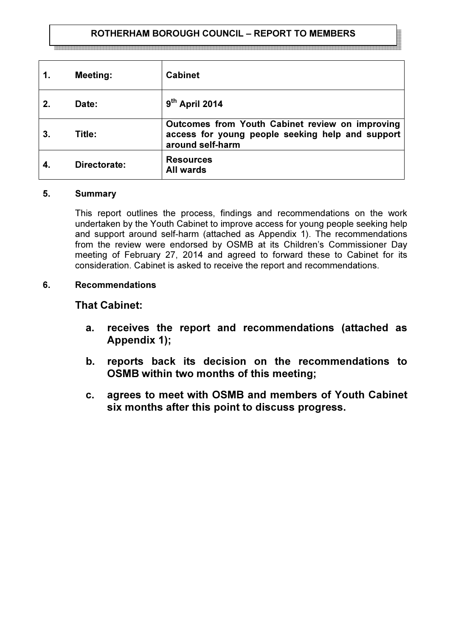## ROTHERHAM BOROUGH COUNCIL – REPORT TO MEMBERS

| 1.             | <b>Meeting:</b> | <b>Cabinet</b>                                                                                                          |
|----------------|-----------------|-------------------------------------------------------------------------------------------------------------------------|
|                | Date:           | $9th$ April 2014                                                                                                        |
| 3 <sub>1</sub> | Title:          | Outcomes from Youth Cabinet review on improving<br>access for young people seeking help and support<br>around self-harm |
|                | Directorate:    | <b>Resources</b><br><b>All wards</b>                                                                                    |

#### 5. Summary

This report outlines the process, findings and recommendations on the work undertaken by the Youth Cabinet to improve access for young people seeking help and support around self-harm (attached as Appendix 1). The recommendations from the review were endorsed by OSMB at its Children's Commissioner Day meeting of February 27, 2014 and agreed to forward these to Cabinet for its consideration. Cabinet is asked to receive the report and recommendations.

#### 6. Recommendations

## That Cabinet:

- a. receives the report and recommendations (attached as Appendix 1);
- b. reports back its decision on the recommendations to OSMB within two months of this meeting;
- c. agrees to meet with OSMB and members of Youth Cabinet six months after this point to discuss progress.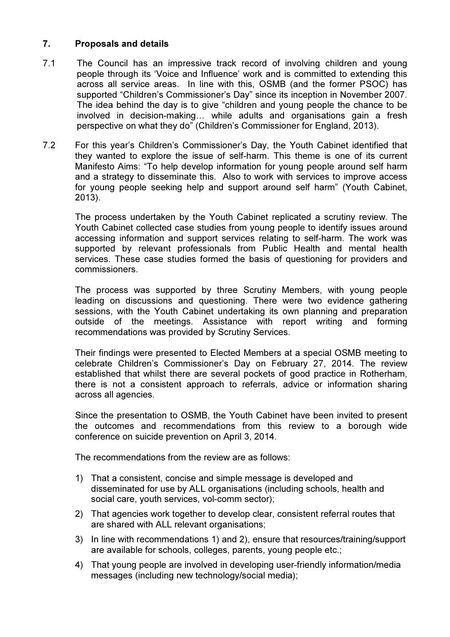# 7. Proposals and details

- 7.1 The Council has an impressive track record of involving children and young people through its 'Voice and Influence' work and is committed to extending this across all service areas. In line with this, OSMB (and the former PSOC) has supported "Children's Commissioner's Day" since its inception in November 2007. The idea behind the day is to give "children and young people the chance to be involved in decision-making… while adults and organisations gain a fresh perspective on what they do" (Children's Commissioner for England, 2013).
- 7.2 For this year's Children's Commissioner's Day, the Youth Cabinet identified that they wanted to explore the issue of self-harm. This theme is one of its current Manifesto Aims: "To help develop information for young people around self harm and a strategy to disseminate this. Also to work with services to improve access for young people seeking help and support around self harm" (Youth Cabinet, 2013).

The process undertaken by the Youth Cabinet replicated a scrutiny review. The Youth Cabinet collected case studies from young people to identify issues around accessing information and support services relating to self-harm. The work was supported by relevant professionals from Public Health and mental health services. These case studies formed the basis of questioning for providers and commissioners.

The process was supported by three Scrutiny Members, with young people leading on discussions and questioning. There were two evidence gathering sessions, with the Youth Cabinet undertaking its own planning and preparation outside of the meetings. Assistance with report writing and forming recommendations was provided by Scrutiny Services.

Their findings were presented to Elected Members at a special OSMB meeting to celebrate Children's Commissioner's Day on February 27, 2014. The review established that whilst there are several pockets of good practice in Rotherham, there is not a consistent approach to referrals, advice or information sharing across all agencies.

Since the presentation to OSMB, the Youth Cabinet have been invited to present the outcomes and recommendations from this review to a borough wide conference on suicide prevention on April 3, 2014.

The recommendations from the review are as follows:

- 1) That a consistent, concise and simple message is developed and disseminated for use by ALL organisations (including schools, health and social care, youth services, vol-comm sector);
- 2) That agencies work together to develop clear, consistent referral routes that are shared with ALL relevant organisations;
- 3) In line with recommendations 1) and 2), ensure that resources/training/support are available for schools, colleges, parents, young people etc.;
- 4) That young people are involved in developing user-friendly information/media messages (including new technology/social media);